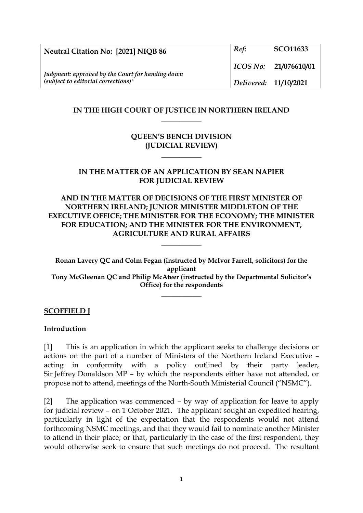| <b>Neutral Citation No: [2021] NIQB 86</b>                                                | Ref:                  | <b>SCO11633</b>       |
|-------------------------------------------------------------------------------------------|-----------------------|-----------------------|
| Judgment: approved by the Court for handing down<br>$(subject to editorial corrections)*$ |                       | ICOS No: 21/076610/01 |
|                                                                                           | Delivered: 11/10/2021 |                       |

## **IN THE HIGH COURT OF JUSTICE IN NORTHERN IRELAND \_\_\_\_\_\_\_\_\_\_\_**

# **QUEEN'S BENCH DIVISION (JUDICIAL REVIEW)**

**\_\_\_\_\_\_\_\_\_\_\_**

## **IN THE MATTER OF AN APPLICATION BY SEAN NAPIER FOR JUDICIAL REVIEW**

## **AND IN THE MATTER OF DECISIONS OF THE FIRST MINISTER OF NORTHERN IRELAND; JUNIOR MINISTER MIDDLETON OF THE EXECUTIVE OFFICE; THE MINISTER FOR THE ECONOMY; THE MINISTER FOR EDUCATION; AND THE MINISTER FOR THE ENVIRONMENT, AGRICULTURE AND RURAL AFFAIRS**

**\_\_\_\_\_\_\_\_\_\_\_**

**Ronan Lavery QC and Colm Fegan (instructed by McIvor Farrell, solicitors) for the applicant Tony McGleenan QC and Philip McAteer (instructed by the Departmental Solicitor's Office) for the respondents \_\_\_\_\_\_\_\_\_\_\_**

### **SCOFFIELD J**

#### **Introduction**

[1] This is an application in which the applicant seeks to challenge decisions or actions on the part of a number of Ministers of the Northern Ireland Executive – acting in conformity with a policy outlined by their party leader, Sir Jeffrey Donaldson MP – by which the respondents either have not attended, or propose not to attend, meetings of the North-South Ministerial Council ("NSMC").

[2] The application was commenced – by way of application for leave to apply for judicial review – on 1 October 2021. The applicant sought an expedited hearing, particularly in light of the expectation that the respondents would not attend forthcoming NSMC meetings, and that they would fail to nominate another Minister to attend in their place; or that, particularly in the case of the first respondent, they would otherwise seek to ensure that such meetings do not proceed. The resultant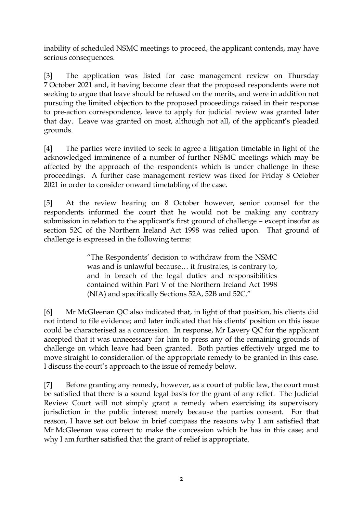inability of scheduled NSMC meetings to proceed, the applicant contends, may have serious consequences.

[3] The application was listed for case management review on Thursday 7 October 2021 and, it having become clear that the proposed respondents were not seeking to argue that leave should be refused on the merits, and were in addition not pursuing the limited objection to the proposed proceedings raised in their response to pre-action correspondence, leave to apply for judicial review was granted later that day. Leave was granted on most, although not all, of the applicant's pleaded grounds.

[4] The parties were invited to seek to agree a litigation timetable in light of the acknowledged imminence of a number of further NSMC meetings which may be affected by the approach of the respondents which is under challenge in these proceedings. A further case management review was fixed for Friday 8 October 2021 in order to consider onward timetabling of the case.

[5] At the review hearing on 8 October however, senior counsel for the respondents informed the court that he would not be making any contrary submission in relation to the applicant's first ground of challenge – except insofar as section 52C of the Northern Ireland Act 1998 was relied upon. That ground of challenge is expressed in the following terms:

> "The Respondents' decision to withdraw from the NSMC was and is unlawful because… it frustrates, is contrary to, and in breach of the legal duties and responsibilities contained within Part V of the Northern Ireland Act 1998 (NIA) and specifically Sections 52A, 52B and 52C."

[6] Mr McGleenan QC also indicated that, in light of that position, his clients did not intend to file evidence; and later indicated that his clients' position on this issue could be characterised as a concession. In response, Mr Lavery QC for the applicant accepted that it was unnecessary for him to press any of the remaining grounds of challenge on which leave had been granted. Both parties effectively urged me to move straight to consideration of the appropriate remedy to be granted in this case. I discuss the court's approach to the issue of remedy below.

[7] Before granting any remedy, however, as a court of public law, the court must be satisfied that there is a sound legal basis for the grant of any relief. The Judicial Review Court will not simply grant a remedy when exercising its supervisory jurisdiction in the public interest merely because the parties consent. For that reason, I have set out below in brief compass the reasons why I am satisfied that Mr McGleenan was correct to make the concession which he has in this case; and why I am further satisfied that the grant of relief is appropriate.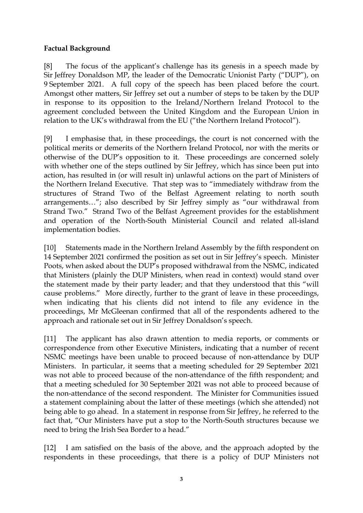## **Factual Background**

[8] The focus of the applicant's challenge has its genesis in a speech made by Sir Jeffrey Donaldson MP, the leader of the Democratic Unionist Party ("DUP"), on 9 September 2021. A full copy of the speech has been placed before the court. Amongst other matters, Sir Jeffrey set out a number of steps to be taken by the DUP in response to its opposition to the Ireland/Northern Ireland Protocol to the agreement concluded between the United Kingdom and the European Union in relation to the UK's withdrawal from the EU ("the Northern Ireland Protocol").

[9] I emphasise that, in these proceedings, the court is not concerned with the political merits or demerits of the Northern Ireland Protocol, nor with the merits or otherwise of the DUP's opposition to it. These proceedings are concerned solely with whether one of the steps outlined by Sir Jeffrey, which has since been put into action, has resulted in (or will result in) unlawful actions on the part of Ministers of the Northern Ireland Executive. That step was to "immediately withdraw from the structures of Strand Two of the Belfast Agreement relating to north south arrangements…"; also described by Sir Jeffrey simply as "our withdrawal from Strand Two." Strand Two of the Belfast Agreement provides for the establishment and operation of the North-South Ministerial Council and related all-island implementation bodies.

[10] Statements made in the Northern Ireland Assembly by the fifth respondent on 14 September 2021 confirmed the position as set out in Sir Jeffrey's speech. Minister Poots, when asked about the DUP's proposed withdrawal from the NSMC, indicated that Ministers (plainly the DUP Ministers, when read in context) would stand over the statement made by their party leader; and that they understood that this "will cause problems." More directly, further to the grant of leave in these proceedings, when indicating that his clients did not intend to file any evidence in the proceedings, Mr McGleenan confirmed that all of the respondents adhered to the approach and rationale set out in Sir Jeffrey Donaldson's speech.

[11] The applicant has also drawn attention to media reports, or comments or correspondence from other Executive Ministers, indicating that a number of recent NSMC meetings have been unable to proceed because of non-attendance by DUP Ministers. In particular, it seems that a meeting scheduled for 29 September 2021 was not able to proceed because of the non-attendance of the fifth respondent; and that a meeting scheduled for 30 September 2021 was not able to proceed because of the non-attendance of the second respondent. The Minister for Communities issued a statement complaining about the latter of these meetings (which she attended) not being able to go ahead. In a statement in response from Sir Jeffrey, he referred to the fact that, "Our Ministers have put a stop to the North-South structures because we need to bring the Irish Sea Border to a head."

[12] I am satisfied on the basis of the above, and the approach adopted by the respondents in these proceedings, that there is a policy of DUP Ministers not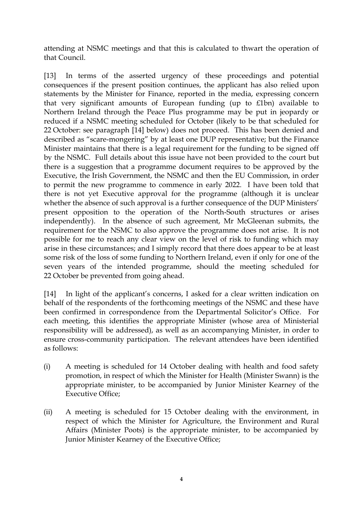attending at NSMC meetings and that this is calculated to thwart the operation of that Council.

[13] In terms of the asserted urgency of these proceedings and potential consequences if the present position continues, the applicant has also relied upon statements by the Minister for Finance, reported in the media, expressing concern that very significant amounts of European funding (up to £1bn) available to Northern Ireland through the Peace Plus programme may be put in jeopardy or reduced if a NSMC meeting scheduled for October (likely to be that scheduled for 22 October: see paragraph [14] below) does not proceed. This has been denied and described as "scare-mongering" by at least one DUP representative; but the Finance Minister maintains that there is a legal requirement for the funding to be signed off by the NSMC. Full details about this issue have not been provided to the court but there is a suggestion that a programme document requires to be approved by the Executive, the Irish Government, the NSMC and then the EU Commission, in order to permit the new programme to commence in early 2022. I have been told that there is not yet Executive approval for the programme (although it is unclear whether the absence of such approval is a further consequence of the DUP Ministers' present opposition to the operation of the North-South structures or arises independently). In the absence of such agreement, Mr McGleenan submits, the requirement for the NSMC to also approve the programme does not arise. It is not possible for me to reach any clear view on the level of risk to funding which may arise in these circumstances; and I simply record that there does appear to be at least some risk of the loss of some funding to Northern Ireland, even if only for one of the seven years of the intended programme, should the meeting scheduled for 22 October be prevented from going ahead.

[14] In light of the applicant's concerns, I asked for a clear written indication on behalf of the respondents of the forthcoming meetings of the NSMC and these have been confirmed in correspondence from the Departmental Solicitor's Office. For each meeting, this identifies the appropriate Minister (whose area of Ministerial responsibility will be addressed), as well as an accompanying Minister, in order to ensure cross-community participation. The relevant attendees have been identified as follows:

- (i) A meeting is scheduled for 14 October dealing with health and food safety promotion, in respect of which the Minister for Health (Minister Swann) is the appropriate minister, to be accompanied by Junior Minister Kearney of the Executive Office;
- (ii) A meeting is scheduled for 15 October dealing with the environment, in respect of which the Minister for Agriculture, the Environment and Rural Affairs (Minister Poots) is the appropriate minister, to be accompanied by Junior Minister Kearney of the Executive Office;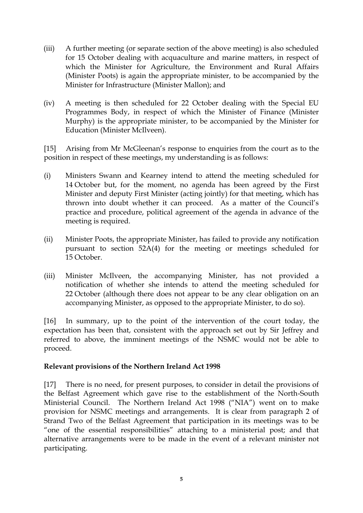- (iii) A further meeting (or separate section of the above meeting) is also scheduled for 15 October dealing with acquaculture and marine matters, in respect of which the Minister for Agriculture, the Environment and Rural Affairs (Minister Poots) is again the appropriate minister, to be accompanied by the Minister for Infrastructure (Minister Mallon); and
- (iv) A meeting is then scheduled for 22 October dealing with the Special EU Programmes Body, in respect of which the Minister of Finance (Minister Murphy) is the appropriate minister, to be accompanied by the Minister for Education (Minister McIlveen).

[15] Arising from Mr McGleenan's response to enquiries from the court as to the position in respect of these meetings, my understanding is as follows:

- (i) Ministers Swann and Kearney intend to attend the meeting scheduled for 14 October but, for the moment, no agenda has been agreed by the First Minister and deputy First Minister (acting jointly) for that meeting, which has thrown into doubt whether it can proceed. As a matter of the Council's practice and procedure, political agreement of the agenda in advance of the meeting is required.
- (ii) Minister Poots, the appropriate Minister, has failed to provide any notification pursuant to section 52A(4) for the meeting or meetings scheduled for 15 October.
- (iii) Minister McIlveen, the accompanying Minister, has not provided a notification of whether she intends to attend the meeting scheduled for 22 October (although there does not appear to be any clear obligation on an accompanying Minister, as opposed to the appropriate Minister, to do so).

[16] In summary, up to the point of the intervention of the court today, the expectation has been that, consistent with the approach set out by Sir Jeffrey and referred to above, the imminent meetings of the NSMC would not be able to proceed.

## **Relevant provisions of the Northern Ireland Act 1998**

[17] There is no need, for present purposes, to consider in detail the provisions of the Belfast Agreement which gave rise to the establishment of the North-South Ministerial Council. The Northern Ireland Act 1998 ("NIA") went on to make provision for NSMC meetings and arrangements. It is clear from paragraph 2 of Strand Two of the Belfast Agreement that participation in its meetings was to be "one of the essential responsibilities" attaching to a ministerial post; and that alternative arrangements were to be made in the event of a relevant minister not participating.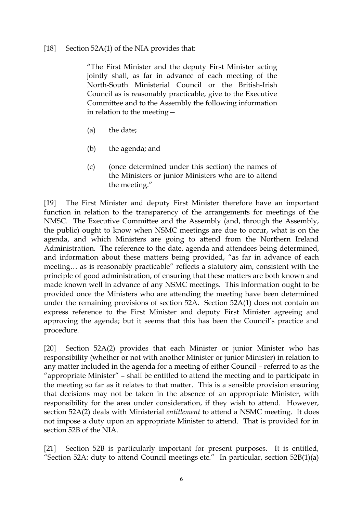## [18] Section 52A(1) of the NIA provides that:

"The First Minister and the deputy First Minister acting jointly shall, as far in advance of each meeting of the North-South Ministerial Council or the British-Irish Council as is reasonably practicable, give to the Executive Committee and to the Assembly the following information in relation to the meeting—

- (a) the date;
- (b) the agenda; and
- (c) (once determined under this section) the names of the Ministers or junior Ministers who are to attend the meeting."

[19] The First Minister and deputy First Minister therefore have an important function in relation to the transparency of the arrangements for meetings of the NMSC. The Executive Committee and the Assembly (and, through the Assembly, the public) ought to know when NSMC meetings are due to occur, what is on the agenda, and which Ministers are going to attend from the Northern Ireland Administration. The reference to the date, agenda and attendees being determined, and information about these matters being provided, "as far in advance of each meeting… as is reasonably practicable" reflects a statutory aim, consistent with the principle of good administration, of ensuring that these matters are both known and made known well in advance of any NSMC meetings. This information ought to be provided once the Ministers who are attending the meeting have been determined under the remaining provisions of section 52A. Section 52A(1) does not contain an express reference to the First Minister and deputy First Minister agreeing and approving the agenda; but it seems that this has been the Council's practice and procedure.

[20] Section 52A(2) provides that each Minister or junior Minister who has responsibility (whether or not with another Minister or junior Minister) in relation to any matter included in the agenda for a meeting of either Council – referred to as the "appropriate Minister" – shall be entitled to attend the meeting and to participate in the meeting so far as it relates to that matter. This is a sensible provision ensuring that decisions may not be taken in the absence of an appropriate Minister, with responsibility for the area under consideration, if they wish to attend. However, section 52A(2) deals with Ministerial *entitlement* to attend a NSMC meeting. It does not impose a duty upon an appropriate Minister to attend. That is provided for in section 52B of the NIA.

[21] Section 52B is particularly important for present purposes. It is entitled, "Section 52A: duty to attend Council meetings etc." In particular, section 52B(1)(a)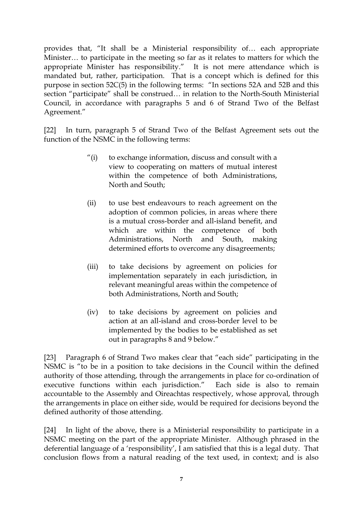provides that, "It shall be a Ministerial responsibility of… each appropriate Minister… to participate in the meeting so far as it relates to matters for which the appropriate Minister has responsibility." It is not mere attendance which is mandated but, rather, participation. That is a concept which is defined for this purpose in section 52C(5) in the following terms: "In sections 52A and 52B and this section "participate" shall be construed… in relation to the North-South Ministerial Council, in accordance with paragraphs 5 and 6 of Strand Two of the Belfast Agreement."

[22] In turn, paragraph 5 of Strand Two of the Belfast Agreement sets out the function of the NSMC in the following terms:

- "(i) to exchange information, discuss and consult with a view to cooperating on matters of mutual interest within the competence of both Administrations, North and South;
- (ii) to use best endeavours to reach agreement on the adoption of common policies, in areas where there is a mutual cross-border and all-island benefit, and which are within the competence of both Administrations, North and South, making determined efforts to overcome any disagreements;
- (iii) to take decisions by agreement on policies for implementation separately in each jurisdiction, in relevant meaningful areas within the competence of both Administrations, North and South;
- (iv) to take decisions by agreement on policies and action at an all-island and cross-border level to be implemented by the bodies to be established as set out in paragraphs 8 and 9 below."

[23] Paragraph 6 of Strand Two makes clear that "each side" participating in the NSMC is "to be in a position to take decisions in the Council within the defined authority of those attending, through the arrangements in place for co-ordination of executive functions within each jurisdiction." Each side is also to remain accountable to the Assembly and Oireachtas respectively, whose approval, through the arrangements in place on either side, would be required for decisions beyond the defined authority of those attending.

[24] In light of the above, there is a Ministerial responsibility to participate in a NSMC meeting on the part of the appropriate Minister. Although phrased in the deferential language of a 'responsibility', I am satisfied that this is a legal duty. That conclusion flows from a natural reading of the text used, in context; and is also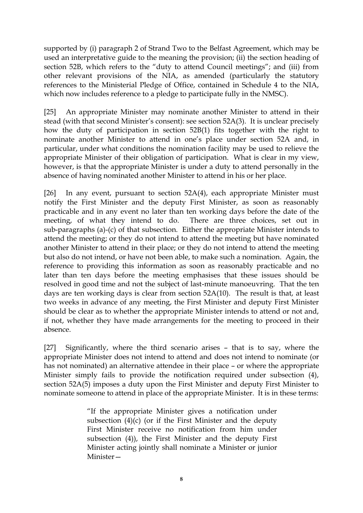supported by (i) paragraph 2 of Strand Two to the Belfast Agreement, which may be used an interpretative guide to the meaning the provision; (ii) the section heading of section 52B, which refers to the "duty to attend Council meetings"; and (iii) from other relevant provisions of the NIA, as amended (particularly the statutory references to the Ministerial Pledge of Office, contained in Schedule 4 to the NIA, which now includes reference to a pledge to participate fully in the NMSC).

[25] An appropriate Minister may nominate another Minister to attend in their stead (with that second Minister's consent): see section 52A(3). It is unclear precisely how the duty of participation in section 52B(1) fits together with the right to nominate another Minister to attend in one's place under section 52A and, in particular, under what conditions the nomination facility may be used to relieve the appropriate Minister of their obligation of participation. What is clear in my view, however, is that the appropriate Minister is under a duty to attend personally in the absence of having nominated another Minister to attend in his or her place.

[26] In any event, pursuant to section 52A(4), each appropriate Minister must notify the First Minister and the deputy First Minister, as soon as reasonably practicable and in any event no later than ten working days before the date of the meeting, of what they intend to do. There are three choices, set out in sub-paragraphs (a)-(c) of that subsection. Either the appropriate Minister intends to attend the meeting; or they do not intend to attend the meeting but have nominated another Minister to attend in their place; or they do not intend to attend the meeting but also do not intend, or have not been able, to make such a nomination. Again, the reference to providing this information as soon as reasonably practicable and no later than ten days before the meeting emphasises that these issues should be resolved in good time and not the subject of last-minute manoeuvring. That the ten days are ten working days is clear from section 52A(10). The result is that, at least two weeks in advance of any meeting, the First Minister and deputy First Minister should be clear as to whether the appropriate Minister intends to attend or not and, if not, whether they have made arrangements for the meeting to proceed in their absence.

[27] Significantly, where the third scenario arises – that is to say, where the appropriate Minister does not intend to attend and does not intend to nominate (or has not nominated) an alternative attendee in their place – or where the appropriate Minister simply fails to provide the notification required under subsection (4), section 52A(5) imposes a duty upon the First Minister and deputy First Minister to nominate someone to attend in place of the appropriate Minister. It is in these terms:

> "If the appropriate Minister gives a notification under subsection  $(4)(c)$  (or if the First Minister and the deputy First Minister receive no notification from him under subsection (4)), the First Minister and the deputy First Minister acting jointly shall nominate a Minister or junior Minister—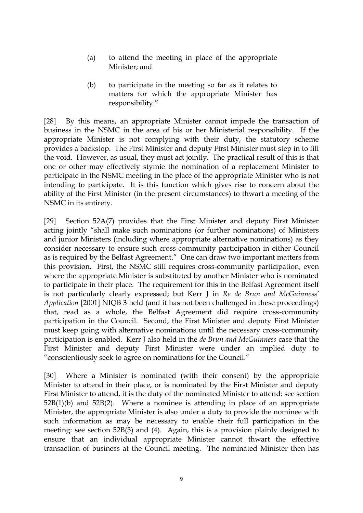- (a) to attend the meeting in place of the appropriate Minister; and
- (b) to participate in the meeting so far as it relates to matters for which the appropriate Minister has responsibility."

[28] By this means, an appropriate Minister cannot impede the transaction of business in the NSMC in the area of his or her Ministerial responsibility. If the appropriate Minister is not complying with their duty, the statutory scheme provides a backstop. The First Minister and deputy First Minister must step in to fill the void. However, as usual, they must act jointly. The practical result of this is that one or other may effectively stymie the nomination of a replacement Minister to participate in the NSMC meeting in the place of the appropriate Minister who is not intending to participate. It is this function which gives rise to concern about the ability of the First Minister (in the present circumstances) to thwart a meeting of the NSMC in its entirety.

[29] Section 52A(7) provides that the First Minister and deputy First Minister acting jointly "shall make such nominations (or further nominations) of Ministers and junior Ministers (including where appropriate alternative nominations) as they consider necessary to ensure such cross-community participation in either Council as is required by the Belfast Agreement." One can draw two important matters from this provision. First, the NSMC still requires cross-community participation, even where the appropriate Minister is substituted by another Minister who is nominated to participate in their place. The requirement for this in the Belfast Agreement itself is not particularly clearly expressed; but Kerr J in *Re de Brun and McGuinness' Application* [2001] NIQB 3 held (and it has not been challenged in these proceedings) that, read as a whole, the Belfast Agreement did require cross-community participation in the Council. Second, the First Minister and deputy First Minister must keep going with alternative nominations until the necessary cross-community participation is enabled. Kerr J also held in the *de Brun and McGuinness* case that the First Minister and deputy First Minister were under an implied duty to "conscientiously seek to agree on nominations for the Council."

[30] Where a Minister is nominated (with their consent) by the appropriate Minister to attend in their place, or is nominated by the First Minister and deputy First Minister to attend, it is the duty of the nominated Minister to attend: see section 52B(1)(b) and 52B(2). Where a nominee is attending in place of an appropriate Minister, the appropriate Minister is also under a duty to provide the nominee with such information as may be necessary to enable their full participation in the meeting: see section 52B(3) and (4). Again, this is a provision plainly designed to ensure that an individual appropriate Minister cannot thwart the effective transaction of business at the Council meeting. The nominated Minister then has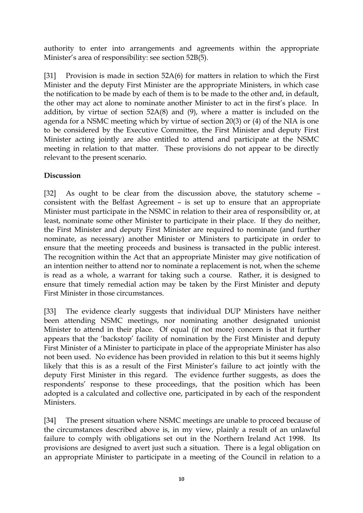authority to enter into arrangements and agreements within the appropriate Minister's area of responsibility: see section 52B(5).

[31] Provision is made in section 52A(6) for matters in relation to which the First Minister and the deputy First Minister are the appropriate Ministers, in which case the notification to be made by each of them is to be made to the other and, in default, the other may act alone to nominate another Minister to act in the first's place. In addition, by virtue of section 52A(8) and (9), where a matter is included on the agenda for a NSMC meeting which by virtue of section 20(3) or (4) of the NIA is one to be considered by the Executive Committee, the First Minister and deputy First Minister acting jointly are also entitled to attend and participate at the NSMC meeting in relation to that matter. These provisions do not appear to be directly relevant to the present scenario.

# **Discussion**

[32] As ought to be clear from the discussion above, the statutory scheme – consistent with the Belfast Agreement – is set up to ensure that an appropriate Minister must participate in the NSMC in relation to their area of responsibility or, at least, nominate some other Minister to participate in their place. If they do neither, the First Minister and deputy First Minister are required to nominate (and further nominate, as necessary) another Minister or Ministers to participate in order to ensure that the meeting proceeds and business is transacted in the public interest. The recognition within the Act that an appropriate Minister may give notification of an intention neither to attend nor to nominate a replacement is not, when the scheme is read as a whole, a warrant for taking such a course. Rather, it is designed to ensure that timely remedial action may be taken by the First Minister and deputy First Minister in those circumstances.

[33] The evidence clearly suggests that individual DUP Ministers have neither been attending NSMC meetings, nor nominating another designated unionist Minister to attend in their place. Of equal (if not more) concern is that it further appears that the 'backstop' facility of nomination by the First Minister and deputy First Minister of a Minister to participate in place of the appropriate Minister has also not been used. No evidence has been provided in relation to this but it seems highly likely that this is as a result of the First Minister's failure to act jointly with the deputy First Minister in this regard. The evidence further suggests, as does the respondents' response to these proceedings, that the position which has been adopted is a calculated and collective one, participated in by each of the respondent Ministers.

[34] The present situation where NSMC meetings are unable to proceed because of the circumstances described above is, in my view, plainly a result of an unlawful failure to comply with obligations set out in the Northern Ireland Act 1998. Its provisions are designed to avert just such a situation. There is a legal obligation on an appropriate Minister to participate in a meeting of the Council in relation to a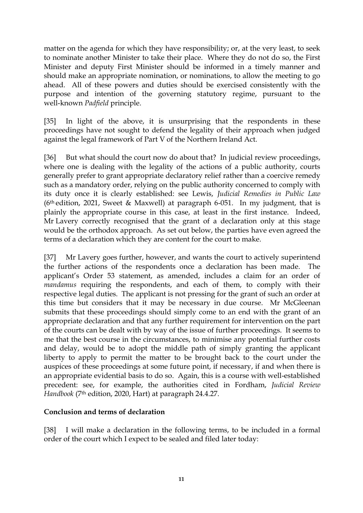matter on the agenda for which they have responsibility; or, at the very least, to seek to nominate another Minister to take their place. Where they do not do so, the First Minister and deputy First Minister should be informed in a timely manner and should make an appropriate nomination, or nominations, to allow the meeting to go ahead. All of these powers and duties should be exercised consistently with the purpose and intention of the governing statutory regime, pursuant to the well-known *Padfield* principle.

[35] In light of the above, it is unsurprising that the respondents in these proceedings have not sought to defend the legality of their approach when judged against the legal framework of Part V of the Northern Ireland Act.

[36] But what should the court now do about that? In judicial review proceedings, where one is dealing with the legality of the actions of a public authority, courts generally prefer to grant appropriate declaratory relief rather than a coercive remedy such as a mandatory order, relying on the public authority concerned to comply with its duty once it is clearly established: see Lewis, *Judicial Remedies in Public Law* (6th edition, 2021, Sweet & Maxwell) at paragraph 6-051. In my judgment, that is plainly the appropriate course in this case, at least in the first instance. Indeed, Mr Lavery correctly recognised that the grant of a declaration only at this stage would be the orthodox approach. As set out below, the parties have even agreed the terms of a declaration which they are content for the court to make.

[37] Mr Lavery goes further, however, and wants the court to actively superintend the further actions of the respondents once a declaration has been made. The applicant's Order 53 statement, as amended, includes a claim for an order of *mandamus* requiring the respondents, and each of them, to comply with their respective legal duties. The applicant is not pressing for the grant of such an order at this time but considers that it may be necessary in due course. Mr McGleenan submits that these proceedings should simply come to an end with the grant of an appropriate declaration and that any further requirement for intervention on the part of the courts can be dealt with by way of the issue of further proceedings. It seems to me that the best course in the circumstances, to minimise any potential further costs and delay, would be to adopt the middle path of simply granting the applicant liberty to apply to permit the matter to be brought back to the court under the auspices of these proceedings at some future point, if necessary, if and when there is an appropriate evidential basis to do so. Again, this is a course with well-established precedent: see, for example, the authorities cited in Fordham, *Judicial Review Handbook* (7th edition, 2020, Hart) at paragraph 24.4.27.

### **Conclusion and terms of declaration**

[38] I will make a declaration in the following terms, to be included in a formal order of the court which I expect to be sealed and filed later today: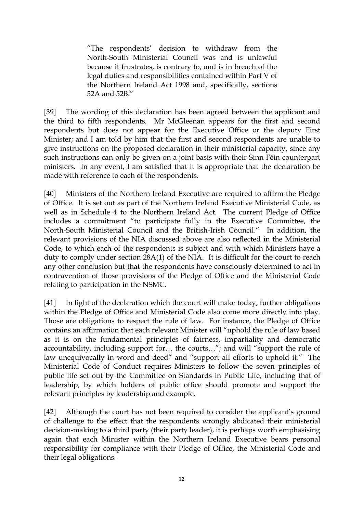"The respondents' decision to withdraw from the North-South Ministerial Council was and is unlawful because it frustrates, is contrary to, and is in breach of the legal duties and responsibilities contained within Part V of the Northern Ireland Act 1998 and, specifically, sections 52A and 52B."

[39] The wording of this declaration has been agreed between the applicant and the third to fifth respondents. Mr McGleenan appears for the first and second respondents but does not appear for the Executive Office or the deputy First Minister; and I am told by him that the first and second respondents are unable to give instructions on the proposed declaration in their ministerial capacity, since any such instructions can only be given on a joint basis with their Sinn Féin counterpart ministers. In any event, I am satisfied that it is appropriate that the declaration be made with reference to each of the respondents.

[40] Ministers of the Northern Ireland Executive are required to affirm the Pledge of Office. It is set out as part of the Northern Ireland Executive Ministerial Code, as well as in Schedule 4 to the Northern Ireland Act. The current Pledge of Office includes a commitment "to participate fully in the Executive Committee, the North-South Ministerial Council and the British-Irish Council." In addition, the relevant provisions of the NIA discussed above are also reflected in the Ministerial Code, to which each of the respondents is subject and with which Ministers have a duty to comply under section 28A(1) of the NIA. It is difficult for the court to reach any other conclusion but that the respondents have consciously determined to act in contravention of those provisions of the Pledge of Office and the Ministerial Code relating to participation in the NSMC.

[41] In light of the declaration which the court will make today, further obligations within the Pledge of Office and Ministerial Code also come more directly into play. Those are obligations to respect the rule of law. For instance, the Pledge of Office contains an affirmation that each relevant Minister will "uphold the rule of law based as it is on the fundamental principles of fairness, impartiality and democratic accountability, including support for… the courts…"; and will "support the rule of law unequivocally in word and deed" and "support all efforts to uphold it." The Ministerial Code of Conduct requires Ministers to follow the seven principles of public life set out by the Committee on Standards in Public Life, including that of leadership, by which holders of public office should promote and support the relevant principles by leadership and example.

[42] Although the court has not been required to consider the applicant's ground of challenge to the effect that the respondents wrongly abdicated their ministerial decision-making to a third party (their party leader), it is perhaps worth emphasising again that each Minister within the Northern Ireland Executive bears personal responsibility for compliance with their Pledge of Office, the Ministerial Code and their legal obligations.